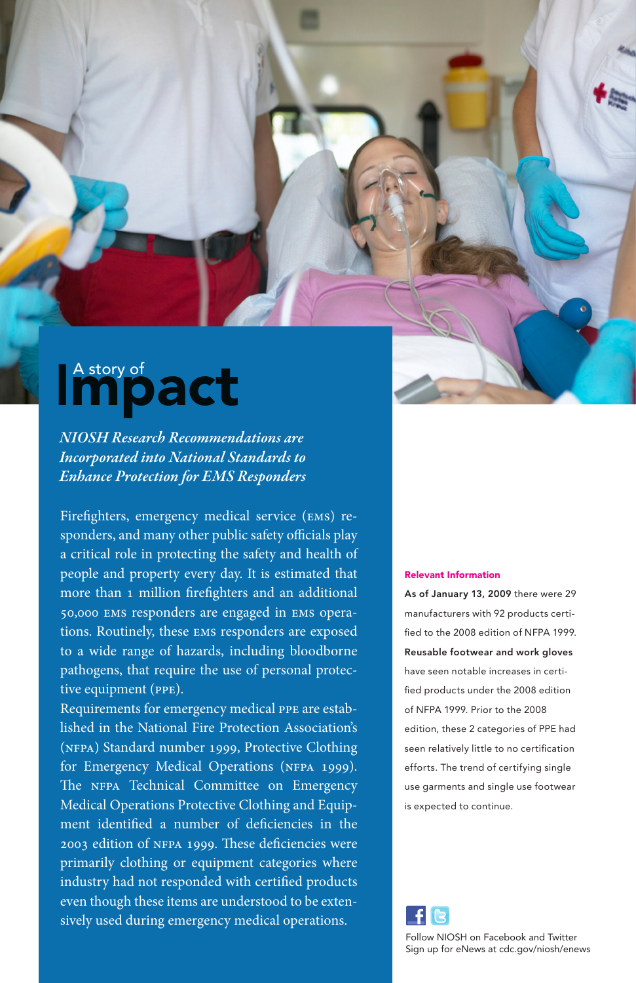## Impact A story of

*NIOSH Research Recommendations are Incorporated into National Standards to Enhance Protection for EMS Responders*

Firefighters, emergency medical service (ems) responders, and many other public safety officials play a critical role in protecting the safety and health of people and property every day. It is estimated that more than 1 million firefighters and an additional 50,000 ems responders are engaged in ems operations. Routinely, these ems responders are exposed to a wide range of hazards, including bloodborne pathogens, that require the use of personal protective equipment (ppe).

Requirements for emergency medical ppe are established in the National Fire Protection Association's (nfpa) Standard number 1999, Protective Clothing for Emergency Medical Operations (NFPA 1999). The NFPA Technical Committee on Emergency Medical Operations Protective Clothing and Equipment identified a number of deficiencies in the 2003 edition of nfpa 1999. These deficiencies were primarily clothing or equipment categories where industry had not responded with certified products even though these items are understood to be extensively used during emergency medical operations.

## Relevant Information

As of January 13, 2009 there were 29 manufacturers with 92 products certified to the 2008 edition of NFPA 1999. Reusable footwear and work gloves have seen notable increases in certified products under the 2008 edition of NFPA 1999. Prior to the 2008 edition, these 2 categories of PPE had seen relatively little to no certification efforts. The trend of certifying single use garments and single use footwear is expected to continue.



Follow NIOSH on Facebook and Twitter Sign up for eNews at cdc.gov/niosh/enews